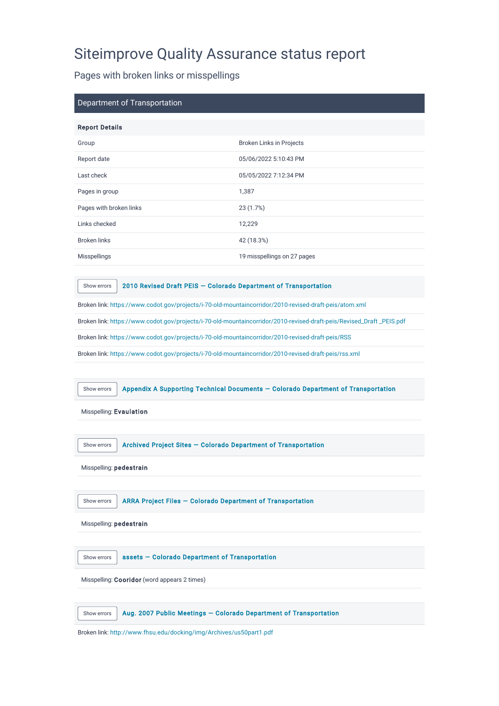## Siteimprove Quality Assurance status report

Pages with broken links or misspellings

| Department of Transportation |                             |
|------------------------------|-----------------------------|
| <b>Report Details</b>        |                             |
| Group                        | Broken Links in Projects    |
| Report date                  | 05/06/2022 5:10:43 PM       |
| Last check                   | 05/05/2022 7:12:34 PM       |
| Pages in group               | 1,387                       |
| Pages with broken links      | 23(1.7%)                    |
| Links checked                | 12,229                      |
| <b>Broken links</b>          | 42 (18.3%)                  |
| <b>Misspellings</b>          | 19 misspellings on 27 pages |

[Show errors](https://my2.siteimprove.com/Inspector/1016680/QualityAssurance/Page?impmd=6F23F55F2CEF20214F363C983FDA3521&pageId=23504974895) | 2010 Revised Draft PEIS - Colorado Department of Transportation

Broken link:<https://www.codot.gov/projects/i-70-old-mountaincorridor/2010-revised-draft-peis/atom.xml>

Broken link: [https://www.codot.gov/projects/i-70-old-mountaincorridor/2010-revised-draft-peis/Revised\\_Draft \\_PEIS.pdf](https://www.codot.gov/projects/i-70-old-mountaincorridor/2010-revised-draft-peis/Revised_Draft%20_PEIS.pdf)

Broken link:<https://www.codot.gov/projects/i-70-old-mountaincorridor/2010-revised-draft-peis/RSS>

Broken link:<https://www.codot.gov/projects/i-70-old-mountaincorridor/2010-revised-draft-peis/rss.xml>

[Show errors](https://my2.siteimprove.com/Inspector/1016680/QualityAssurance/Page?impmd=6F23F55F2CEF20214F363C983FDA3521&pageId=23492563974) | Appendix A Supporting Technical Documents - Colorado Department of Transportation

Misspelling: Evaulation

[Show errors](https://my2.siteimprove.com/Inspector/1016680/QualityAssurance/Page?impmd=6F23F55F2CEF20214F363C983FDA3521&pageId=26564565426) | Archived Project Sites – Colorado Department of Transportation

Misspelling: pedestrain

[Show errors](https://my2.siteimprove.com/Inspector/1016680/QualityAssurance/Page?impmd=6F23F55F2CEF20214F363C983FDA3521&pageId=24965879858) | ARRA Project Files – Colorado Department of Transportation

Misspelling: pedestrain

[Show errors](https://my2.siteimprove.com/Inspector/1016680/QualityAssurance/Page?impmd=6F23F55F2CEF20214F363C983FDA3521&pageId=27039402110) assets - Colorado Department of Transportation

Misspelling: Cooridor (word appears 2 times)

| Show errors $\vert$ Aug. 2007 Public Meetings $-$ Colorado Department of Transportation |
|-----------------------------------------------------------------------------------------|
|                                                                                         |

Broken link:<http://www.fhsu.edu/docking/img/Archives/us50part1.pdf>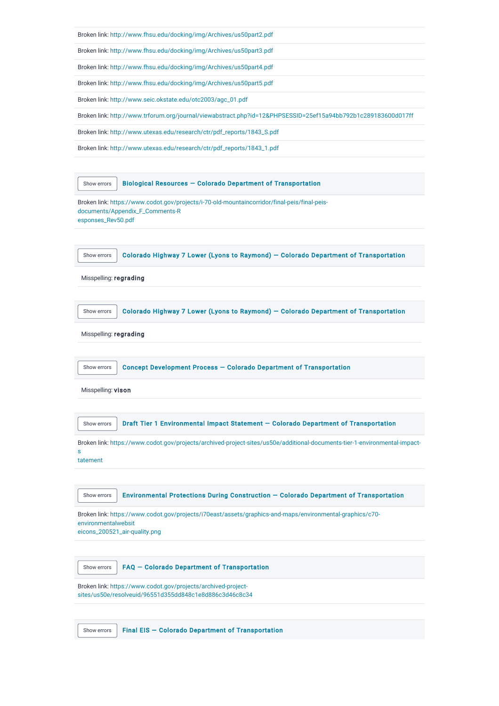|  |  |  |  | Broken link: http://www.fhsu.edu/docking/img/Archives/us50part2.pdf |
|--|--|--|--|---------------------------------------------------------------------|
|--|--|--|--|---------------------------------------------------------------------|

Broken link:<http://www.fhsu.edu/docking/img/Archives/us50part3.pdf>

Broken link:<http://www.fhsu.edu/docking/img/Archives/us50part4.pdf>

Broken link:<http://www.fhsu.edu/docking/img/Archives/us50part5.pdf>

Broken link: [http://www.seic.okstate.edu/otc2003/agc\\_01.pdf](http://www.seic.okstate.edu/otc2003/agc_01.pdf)

Broken link:<http://www.trforum.org/journal/viewabstract.php?id=12&PHPSESSID=25ef15a94bb792b1c289183600d017ff>

Broken link: [http://www.utexas.edu/research/ctr/pdf\\_reports/1843\\_S.pdf](http://www.utexas.edu/research/ctr/pdf_reports/1843_S.pdf)

Broken link: [http://www.utexas.edu/research/ctr/pdf\\_reports/1843\\_1.pdf](http://www.utexas.edu/research/ctr/pdf_reports/1843_1.pdf)

| Show errors            | Biological Resources - Colorado Department of Transportation                                                                              |
|------------------------|-------------------------------------------------------------------------------------------------------------------------------------------|
| esponses_Rev50.pdf     | Broken link: https://www.codot.gov/projects/i-70-old-mountaincorridor/final-peis/final-peis-<br>documents/Appendix_F_Comments-R           |
|                        |                                                                                                                                           |
| Show errors            | Colorado Highway 7 Lower (Lyons to Raymond) - Colorado Department of Transportation                                                       |
| Misspelling: regrading |                                                                                                                                           |
|                        |                                                                                                                                           |
| Show errors            | Colorado Highway 7 Lower (Lyons to Raymond) - Colorado Department of Transportation                                                       |
| Misspelling: regrading |                                                                                                                                           |
|                        |                                                                                                                                           |
| Show errors            | Concept Development Process - Colorado Department of Transportation                                                                       |
| Misspelling: vison     |                                                                                                                                           |
|                        |                                                                                                                                           |
| Show errors            | Draft Tier 1 Environmental Impact Statement - Colorado Department of Transportation                                                       |
| s<br>tatement          | Broken link: https://www.codot.gov/projects/archived-project-sites/us50e/additional-documents-tier-1-environmental-impact-                |
|                        |                                                                                                                                           |
| Show errors            | Environmental Protections During Construction - Colorado Department of Transportation                                                     |
| environmentalwebsit    | Broken link: https://www.codot.gov/projects/i70east/assets/graphics-and-maps/environmental-graphics/c70-<br>eicons_200521_air-quality.png |
|                        |                                                                                                                                           |
| Show errors            | FAQ - Colorado Department of Transportation                                                                                               |
|                        | Broken link: https://www.codot.gov/projects/archived-project-<br>sites/us50e/resolveuid/96551d355dd848c1e8d886c3d46c8c34                  |
|                        |                                                                                                                                           |
| Show errors            | Final EIS - Colorado Department of Transportation                                                                                         |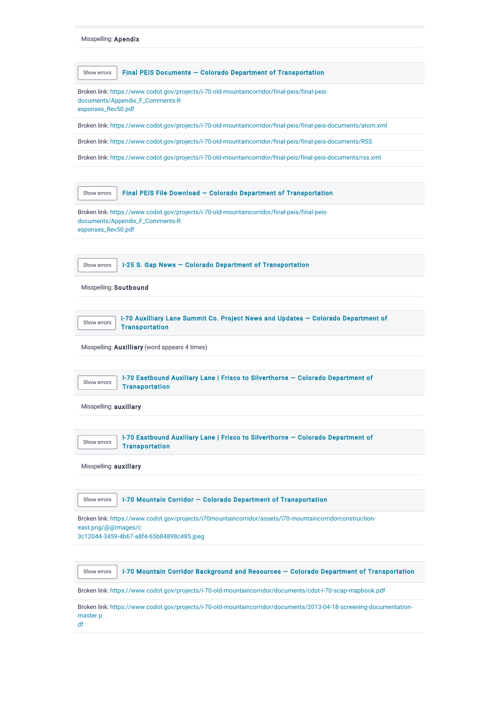| Final PEIS Documents - Colorado Department of Transportation<br>Show errors<br>Broken link: https://www.codot.gov/projects/i-70-old-mountaincorridor/final-peis/final-peis-<br>documents/Appendix_F_Comments-R<br>esponses_Rev50.pdf<br>Broken link: https://www.codot.gov/projects/i-70-old-mountaincorridor/final-peis/final-peis-documents/atom.xml<br>Broken link: https://www.codot.gov/projects/i-70-old-mountaincorridor/final-peis/final-peis-documents/RSS<br>Broken link: https://www.codot.gov/projects/i-70-old-mountaincorridor/final-peis/final-peis-documents/rss.xml<br>Final PEIS File Download - Colorado Department of Transportation<br>Show errors<br>Broken link: https://www.codot.gov/projects/i-70-old-mountaincorridor/final-peis/final-peis-<br>documents/Appendix_F_Comments-R<br>esponses_Rev50.pdf<br>I-25 S. Gap News - Colorado Department of Transportation<br>Show errors<br>Misspelling: Soutbound<br>I-70 Auxilliary Lane Summit Co. Project News and Updates - Colorado Department of<br>Show errors<br><b>Transportation</b><br>Misspelling: Auxilliary (word appears 4 times)<br>I-70 Eastbound Auxiliary Lane   Frisco to Silverthorne - Colorado Department of<br>Show errors<br><b>Transportation</b><br>Misspelling: auxillary<br>I-70 Eastbound Auxiliary Lane   Frisco to Silverthorne - Colorado Department of<br>Show errors<br><b>Transportation</b><br>Misspelling: auxillary<br>I-70 Mountain Corridor - Colorado Department of Transportation<br>Show errors<br>Broken link: https://www.codot.gov/projects/i70mountaincorridor/assets/i70-mountaincorridorconstruction-<br>east.png/@@images/c<br>3c12044-3459-4b67-a8f4-65b84898c485.jpeg<br>I-70 Mountain Corridor Background and Resources - Colorado Department of Transportation<br>Show errors |  |
|----------------------------------------------------------------------------------------------------------------------------------------------------------------------------------------------------------------------------------------------------------------------------------------------------------------------------------------------------------------------------------------------------------------------------------------------------------------------------------------------------------------------------------------------------------------------------------------------------------------------------------------------------------------------------------------------------------------------------------------------------------------------------------------------------------------------------------------------------------------------------------------------------------------------------------------------------------------------------------------------------------------------------------------------------------------------------------------------------------------------------------------------------------------------------------------------------------------------------------------------------------------------------------------------------------------------------------------------------------------------------------------------------------------------------------------------------------------------------------------------------------------------------------------------------------------------------------------------------------------------------------------------------------------------------------------------------------------------------------------------------------------------------------------------------------|--|
|                                                                                                                                                                                                                                                                                                                                                                                                                                                                                                                                                                                                                                                                                                                                                                                                                                                                                                                                                                                                                                                                                                                                                                                                                                                                                                                                                                                                                                                                                                                                                                                                                                                                                                                                                                                                          |  |
|                                                                                                                                                                                                                                                                                                                                                                                                                                                                                                                                                                                                                                                                                                                                                                                                                                                                                                                                                                                                                                                                                                                                                                                                                                                                                                                                                                                                                                                                                                                                                                                                                                                                                                                                                                                                          |  |
|                                                                                                                                                                                                                                                                                                                                                                                                                                                                                                                                                                                                                                                                                                                                                                                                                                                                                                                                                                                                                                                                                                                                                                                                                                                                                                                                                                                                                                                                                                                                                                                                                                                                                                                                                                                                          |  |
|                                                                                                                                                                                                                                                                                                                                                                                                                                                                                                                                                                                                                                                                                                                                                                                                                                                                                                                                                                                                                                                                                                                                                                                                                                                                                                                                                                                                                                                                                                                                                                                                                                                                                                                                                                                                          |  |
|                                                                                                                                                                                                                                                                                                                                                                                                                                                                                                                                                                                                                                                                                                                                                                                                                                                                                                                                                                                                                                                                                                                                                                                                                                                                                                                                                                                                                                                                                                                                                                                                                                                                                                                                                                                                          |  |
|                                                                                                                                                                                                                                                                                                                                                                                                                                                                                                                                                                                                                                                                                                                                                                                                                                                                                                                                                                                                                                                                                                                                                                                                                                                                                                                                                                                                                                                                                                                                                                                                                                                                                                                                                                                                          |  |
|                                                                                                                                                                                                                                                                                                                                                                                                                                                                                                                                                                                                                                                                                                                                                                                                                                                                                                                                                                                                                                                                                                                                                                                                                                                                                                                                                                                                                                                                                                                                                                                                                                                                                                                                                                                                          |  |
|                                                                                                                                                                                                                                                                                                                                                                                                                                                                                                                                                                                                                                                                                                                                                                                                                                                                                                                                                                                                                                                                                                                                                                                                                                                                                                                                                                                                                                                                                                                                                                                                                                                                                                                                                                                                          |  |
|                                                                                                                                                                                                                                                                                                                                                                                                                                                                                                                                                                                                                                                                                                                                                                                                                                                                                                                                                                                                                                                                                                                                                                                                                                                                                                                                                                                                                                                                                                                                                                                                                                                                                                                                                                                                          |  |
|                                                                                                                                                                                                                                                                                                                                                                                                                                                                                                                                                                                                                                                                                                                                                                                                                                                                                                                                                                                                                                                                                                                                                                                                                                                                                                                                                                                                                                                                                                                                                                                                                                                                                                                                                                                                          |  |
|                                                                                                                                                                                                                                                                                                                                                                                                                                                                                                                                                                                                                                                                                                                                                                                                                                                                                                                                                                                                                                                                                                                                                                                                                                                                                                                                                                                                                                                                                                                                                                                                                                                                                                                                                                                                          |  |
|                                                                                                                                                                                                                                                                                                                                                                                                                                                                                                                                                                                                                                                                                                                                                                                                                                                                                                                                                                                                                                                                                                                                                                                                                                                                                                                                                                                                                                                                                                                                                                                                                                                                                                                                                                                                          |  |
|                                                                                                                                                                                                                                                                                                                                                                                                                                                                                                                                                                                                                                                                                                                                                                                                                                                                                                                                                                                                                                                                                                                                                                                                                                                                                                                                                                                                                                                                                                                                                                                                                                                                                                                                                                                                          |  |
|                                                                                                                                                                                                                                                                                                                                                                                                                                                                                                                                                                                                                                                                                                                                                                                                                                                                                                                                                                                                                                                                                                                                                                                                                                                                                                                                                                                                                                                                                                                                                                                                                                                                                                                                                                                                          |  |
|                                                                                                                                                                                                                                                                                                                                                                                                                                                                                                                                                                                                                                                                                                                                                                                                                                                                                                                                                                                                                                                                                                                                                                                                                                                                                                                                                                                                                                                                                                                                                                                                                                                                                                                                                                                                          |  |
|                                                                                                                                                                                                                                                                                                                                                                                                                                                                                                                                                                                                                                                                                                                                                                                                                                                                                                                                                                                                                                                                                                                                                                                                                                                                                                                                                                                                                                                                                                                                                                                                                                                                                                                                                                                                          |  |
|                                                                                                                                                                                                                                                                                                                                                                                                                                                                                                                                                                                                                                                                                                                                                                                                                                                                                                                                                                                                                                                                                                                                                                                                                                                                                                                                                                                                                                                                                                                                                                                                                                                                                                                                                                                                          |  |
|                                                                                                                                                                                                                                                                                                                                                                                                                                                                                                                                                                                                                                                                                                                                                                                                                                                                                                                                                                                                                                                                                                                                                                                                                                                                                                                                                                                                                                                                                                                                                                                                                                                                                                                                                                                                          |  |
| Broken link: https://www.codot.gov/projects/i-70-old-mountaincorridor/documents/cdot-i-70-scap-mapbook.pdf                                                                                                                                                                                                                                                                                                                                                                                                                                                                                                                                                                                                                                                                                                                                                                                                                                                                                                                                                                                                                                                                                                                                                                                                                                                                                                                                                                                                                                                                                                                                                                                                                                                                                               |  |

[Br](https://www.codot.gov/projects/i-70-old-mountaincorridor/documents/2013-04-18-screening-documentation-master.pdf)oken link: https://www.codot.gov/projects/i-70-old-mountaincorridor/documents/2013-04-18-screening-documentationmaster.p df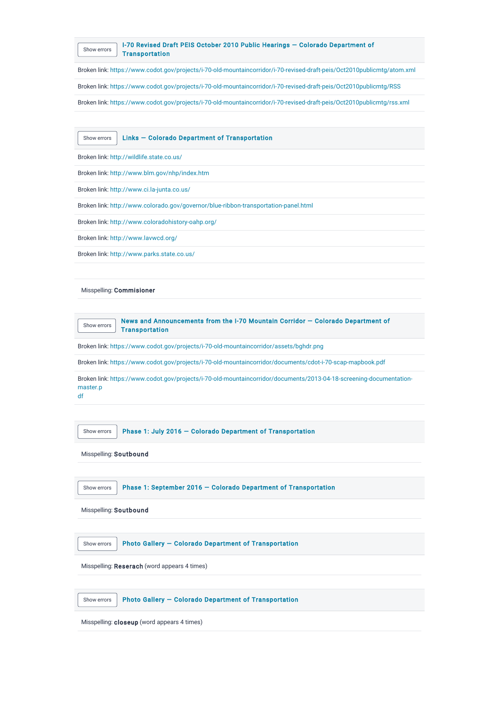

Broken link:<https://www.codot.gov/projects/i-70-old-mountaincorridor/i-70-revised-draft-peis/Oct2010publicmtg/atom.xml>

Broken link:<https://www.codot.gov/projects/i-70-old-mountaincorridor/i-70-revised-draft-peis/Oct2010publicmtg/RSS>

Broken link:<https://www.codot.gov/projects/i-70-old-mountaincorridor/i-70-revised-draft-peis/Oct2010publicmtg/rss.xml>

[Show errors](https://my2.siteimprove.com/Inspector/1016680/QualityAssurance/Page?impmd=6F23F55F2CEF20214F363C983FDA3521&pageId=34951754086) | Links – Colorado Department of Transportation

Broken link:<http://wildlife.state.co.us/>

Broken link:<http://www.blm.gov/nhp/index.htm>

Broken link:<http://www.ci.la-junta.co.us/>

Broken link:<http://www.colorado.gov/governor/blue-ribbon-transportation-panel.html>

Broken link:<http://www.coloradohistory-oahp.org/>

Broken link:<http://www.lavwcd.org/>

Broken link:<http://www.parks.state.co.us/>

Misspelling: Commisioner

[Show errors](https://my2.siteimprove.com/Inspector/1016680/QualityAssurance/Page?impmd=6F23F55F2CEF20214F363C983FDA3521&pageId=25944481546) [News and Announcements from the I-70 Mountain Corridor — Colorado Department of](https://www.codot.gov/projects/i-70-old-mountaincorridor) **Transportation** 

Broken link:<https://www.codot.gov/projects/i-70-old-mountaincorridor/assets/bghdr.png>

Broken link:<https://www.codot.gov/projects/i-70-old-mountaincorridor/documents/cdot-i-70-scap-mapbook.pdf>

[Br](https://www.codot.gov/projects/i-70-old-mountaincorridor/documents/2013-04-18-screening-documentation-master.pdf)oken link: https://www.codot.gov/projects/i-70-old-mountaincorridor/documents/2013-04-18-screening-documentationmaster.p df

[Show errors](https://my2.siteimprove.com/Inspector/1016680/QualityAssurance/Page?impmd=6F23F55F2CEF20214F363C983FDA3521&pageId=27545356332) Phase 1: July 2016 – Colorado Department of Transportation

Misspelling: Soutbound

[Show errors](https://my2.siteimprove.com/Inspector/1016680/QualityAssurance/Page?impmd=6F23F55F2CEF20214F363C983FDA3521&pageId=27545355889) | Phase 1: September 2016 - Colorado Department of Transportation

Misspelling: Soutbound

[Show errors](https://my2.siteimprove.com/Inspector/1016680/QualityAssurance/Page?impmd=6F23F55F2CEF20214F363C983FDA3521&pageId=32552089637) | Photo Gallery – Colorado Department of Transportation

Misspelling: Reserach (word appears 4 times)

[Show errors](https://my2.siteimprove.com/Inspector/1016680/QualityAssurance/Page?impmd=6F23F55F2CEF20214F363C983FDA3521&pageId=28057252406) | Photo Gallery - Colorado Department of Transportation

Misspelling: closeup (word appears 4 times)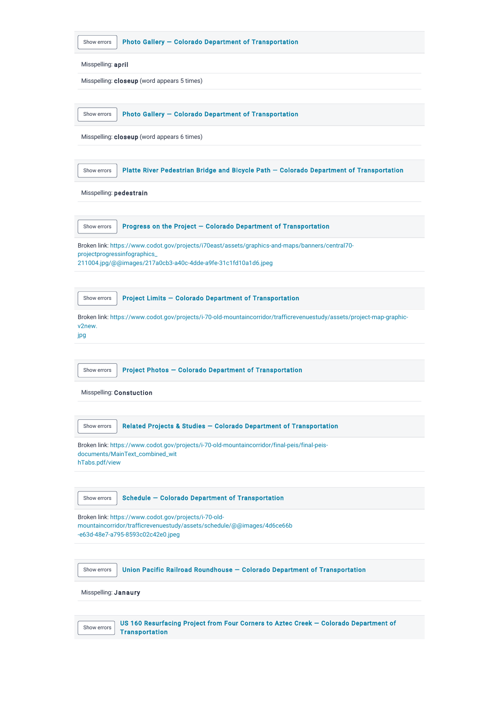| Photo Gallery - Colorado Department of Transportation<br>Show errors                                                                                                 |  |
|----------------------------------------------------------------------------------------------------------------------------------------------------------------------|--|
|                                                                                                                                                                      |  |
| Misspelling: april                                                                                                                                                   |  |
| Misspelling: closeup (word appears 5 times)                                                                                                                          |  |
|                                                                                                                                                                      |  |
| Photo Gallery - Colorado Department of Transportation<br>Show errors                                                                                                 |  |
| Misspelling: closeup (word appears 6 times)                                                                                                                          |  |
|                                                                                                                                                                      |  |
| Platte River Pedestrian Bridge and Bicycle Path - Colorado Department of Transportation<br>Show errors                                                               |  |
| Misspelling: pedestrain                                                                                                                                              |  |
|                                                                                                                                                                      |  |
| Progress on the Project - Colorado Department of Transportation<br>Show errors                                                                                       |  |
| Broken link: https://www.codot.gov/projects/i70east/assets/graphics-and-maps/banners/central70-                                                                      |  |
| projectprogressinfographics_<br>211004.jpg/@@images/217a0cb3-a40c-4dde-a9fe-31c1fd10a1d6.jpeg                                                                        |  |
|                                                                                                                                                                      |  |
| Project Limits - Colorado Department of Transportation<br>Show errors                                                                                                |  |
| Broken link: https://www.codot.gov/projects/i-70-old-mountaincorridor/trafficrevenuestudy/assets/project-map-graphic-<br>v2new.<br>jpg                               |  |
|                                                                                                                                                                      |  |
| Project Photos - Colorado Department of Transportation<br>Show errors                                                                                                |  |
| Misspelling: Constuction                                                                                                                                             |  |
|                                                                                                                                                                      |  |
| Related Projects & Studies - Colorado Department of Transportation<br>Show errors                                                                                    |  |
| Broken link: https://www.codot.gov/projects/i-70-old-mountaincorridor/final-peis/final-peis-<br>documents/MainText_combined_wit<br>hTabs.pdf/view                    |  |
| <b>Schedule - Colorado Department of Transportation</b><br>Show errors                                                                                               |  |
| Broken link: https://www.codot.gov/projects/i-70-old-<br>mountaincorridor/trafficrevenuestudy/assets/schedule/@@images/4d6ce66b<br>-e63d-48e7-a795-8593c02c42e0.jpeg |  |
| Union Pacific Railroad Roundhouse - Colorado Department of Transportation<br>Show errors                                                                             |  |
| Misspelling: Janaury                                                                                                                                                 |  |
|                                                                                                                                                                      |  |
| US 160 Resurfacing Project from Four Corners to Aztec Creek - Colorado Department of<br>Show errors<br><b>Transportation</b>                                         |  |